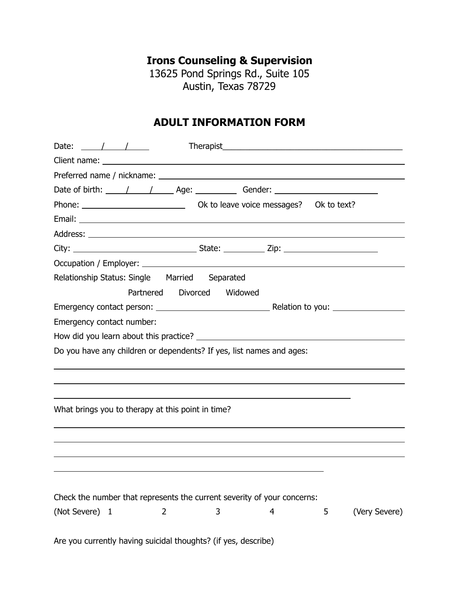**Irons Counseling & Supervision** 

13625 Pond Springs Rd., Suite 105 Austin, Texas 78729

## **ADULT INFORMATION FORM**

| Date: $\frac{1}{\sqrt{1-\frac{1}{2}}}$                                  |
|-------------------------------------------------------------------------|
|                                                                         |
|                                                                         |
|                                                                         |
|                                                                         |
|                                                                         |
|                                                                         |
|                                                                         |
|                                                                         |
| Relationship Status: Single Married Separated                           |
| Partnered Divorced<br>Widowed                                           |
|                                                                         |
| Emergency contact number:                                               |
|                                                                         |
| Do you have any children or dependents? If yes, list names and ages:    |
|                                                                         |
|                                                                         |
|                                                                         |
| What brings you to therapy at this point in time?                       |
|                                                                         |
|                                                                         |
|                                                                         |
|                                                                         |
|                                                                         |
| Check the number that represents the current severity of your concerns: |
| (Not Severe) 1<br>$\overline{2}$<br>5<br>(Very Severe)<br>3<br>4        |
|                                                                         |
| Are you currently having suicidal thoughts? (if yes, describe)          |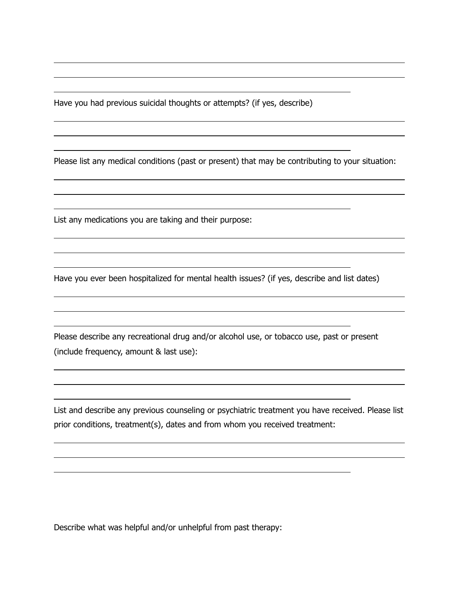Have you had previous suicidal thoughts or attempts? (if yes, describe)

Please list any medical conditions (past or present) that may be contributing to your situation:

List any medications you are taking and their purpose:

 $\overline{a}$ 

 $\overline{a}$ 

 $\overline{a}$ 

 $\overline{a}$ 

 $\overline{a}$ 

 $\overline{a}$ 

 $\overline{a}$ 

 $\overline{a}$ 

 $\overline{a}$ 

 $\overline{a}$ 

 $\overline{a}$ 

 $\overline{a}$ 

 $\overline{a}$  $\overline{a}$ 

Have you ever been hospitalized for mental health issues? (if yes, describe and list dates)

Please describe any recreational drug and/or alcohol use, or tobacco use, past or present (include frequency, amount & last use):

List and describe any previous counseling or psychiatric treatment you have received. Please list prior conditions, treatment(s), dates and from whom you received treatment:

Describe what was helpful and/or unhelpful from past therapy: